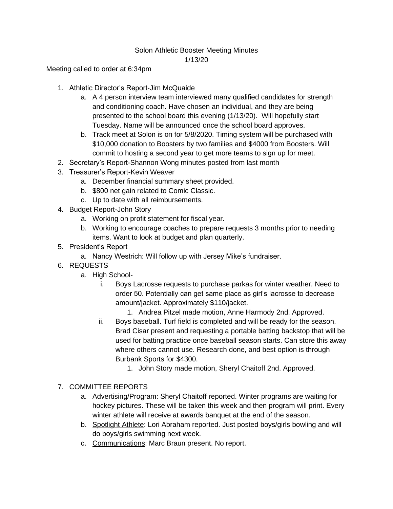## Solon Athletic Booster Meeting Minutes 1/13/20

Meeting called to order at 6:34pm

- 1. Athletic Director's Report-Jim McQuaide
	- a. A 4 person interview team interviewed many qualified candidates for strength and conditioning coach. Have chosen an individual, and they are being presented to the school board this evening (1/13/20). Will hopefully start Tuesday. Name will be announced once the school board approves.
	- b. Track meet at Solon is on for 5/8/2020. Timing system will be purchased with \$10,000 donation to Boosters by two families and \$4000 from Boosters. Will commit to hosting a second year to get more teams to sign up for meet.
- 2. Secretary's Report-Shannon Wong minutes posted from last month
- 3. Treasurer's Report-Kevin Weaver
	- a. December financial summary sheet provided.
	- b. \$800 net gain related to Comic Classic.
	- c. Up to date with all reimbursements.
- 4. Budget Report-John Story
	- a. Working on profit statement for fiscal year.
	- b. Working to encourage coaches to prepare requests 3 months prior to needing items. Want to look at budget and plan quarterly.
- 5. President's Report
	- a. Nancy Westrich: Will follow up with Jersey Mike's fundraiser.
- 6. REQUESTS
	- a. High School
		- i. Boys Lacrosse requests to purchase parkas for winter weather. Need to order 50. Potentially can get same place as girl's lacrosse to decrease amount/jacket. Approximately \$110/jacket.
			- 1. Andrea Pitzel made motion, Anne Harmody 2nd. Approved.
		- ii. Boys baseball. Turf field is completed and will be ready for the season. Brad Cisar present and requesting a portable batting backstop that will be used for batting practice once baseball season starts. Can store this away where others cannot use. Research done, and best option is through Burbank Sports for \$4300.
			- 1. John Story made motion, Sheryl Chaitoff 2nd. Approved.
- 7. COMMITTEE REPORTS
	- a. Advertising/Program: Sheryl Chaitoff reported. Winter programs are waiting for hockey pictures. These will be taken this week and then program will print. Every winter athlete will receive at awards banquet at the end of the season.
	- b. Spotlight Athlete: Lori Abraham reported. Just posted boys/girls bowling and will do boys/girls swimming next week.
	- c. Communications: Marc Braun present. No report.